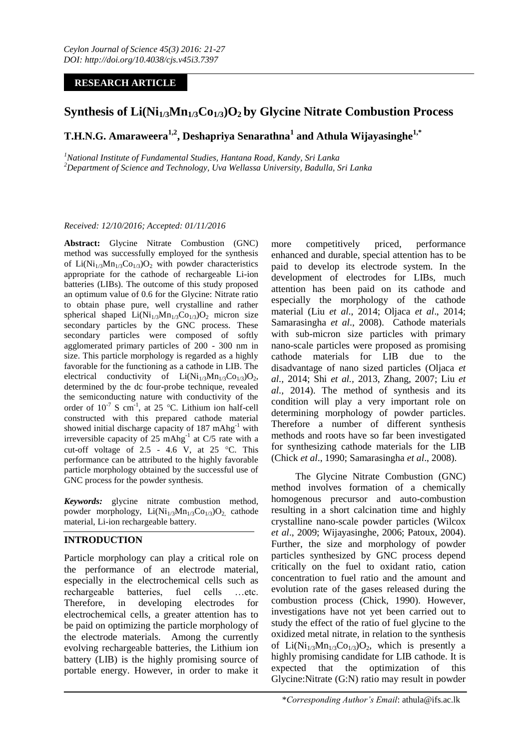## **RESEARCH ARTICLE**

# **Synthesis of Li(Ni1/3Mn1/3Co1/3)O2 by Glycine Nitrate Combustion Process**

## **T.H.N.G. Amaraweera1,2, Deshapriya Senarathna<sup>1</sup> and Athula Wijayasinghe1,\***

*<sup>1</sup>National Institute of Fundamental Studies, Hantana Road, Kandy, Sri Lanka <sup>2</sup>Department of Science and Technology, Uva Wellassa University, Badulla, Sri Lanka*

#### *Received: 12/10/2016; Accepted: 01/11/2016*

**Abstract:** Glycine Nitrate Combustion (GNC) method was successfully employed for the synthesis of  $Li(Ni_{1/3}Mn_{1/3}Co_{1/3})O_2$  with powder characteristics appropriate for the cathode of rechargeable Li-ion batteries (LIBs). The outcome of this study proposed an optimum value of 0.6 for the Glycine: Nitrate ratio to obtain phase pure, well crystalline and rather spherical shaped  $Li(Ni_{1/3}Mn_{1/3}Co_{1/3})O_2$  micron size secondary particles by the GNC process. These secondary particles were composed of softly agglomerated primary particles of 200 - 300 nm in size. This particle morphology is regarded as a highly favorable for the functioning as a cathode in LIB. The electrical conductivity of  $Li(Ni_{1/3}Mn_{1/3}Co_{1/3})O_2$ , determined by the dc four-probe technique, revealed the semiconducting nature with conductivity of the order of  $10^{-7}$  S cm<sup>-1</sup>, at 25 °C. Lithium ion half-cell constructed with this prepared cathode material showed initial discharge capacity of  $187 \text{ mAhg}^{-1}$  with irreversible capacity of  $25 \text{ mAbg}^{-1}$  at C/5 rate with a cut-off voltage of  $2.5 - 4.6$  V, at  $25$  °C. This performance can be attributed to the highly favorable particle morphology obtained by the successful use of GNC process for the powder synthesis.

*Keywords:* glycine nitrate combustion method, powder morphology,  $Li(Ni_{1/3}Mn_{1/3}Co_{1/3})O_2$  cathode material, Li-ion rechargeable battery.

### **INTRODUCTION**

Particle morphology can play a critical role on the performance of an electrode material, especially in the electrochemical cells such as rechargeable batteries, fuel cells …etc. Therefore, in developing electrodes for electrochemical cells, a greater attention has to be paid on optimizing the particle morphology of the electrode materials. Among the currently evolving rechargeable batteries, the Lithium ion battery (LIB) is the highly promising source of portable energy. However, in order to make it

more competitively priced, performance enhanced and durable, special attention has to be paid to develop its electrode system. In the development of electrodes for LIBs, much attention has been paid on its cathode and especially the morphology of the cathode material (Liu *et al*., 2014; Oljaca *et al*., 2014; Samarasingha *et al*., 2008). Cathode materials with sub-micron size particles with primary nano-scale particles were proposed as promising cathode materials for LIB due to the disadvantage of nano sized particles (Oljaca *et al.,* 2014; Shi *et al.,* 2013, Zhang, 2007; Liu *et al.,* 2014). The method of synthesis and its condition will play a very important role on determining morphology of powder particles. Therefore a number of different synthesis methods and roots have so far been investigated for synthesizing cathode materials for the LIB (Chick *et al*., 1990; Samarasingha *et al*., 2008).

The Glycine Nitrate Combustion (GNC) method involves formation of a chemically homogenous precursor and auto-combustion resulting in a short calcination time and highly crystalline nano-scale powder particles (Wilcox *et al*., 2009; Wijayasinghe, 2006; Patoux, 2004). Further, the size and morphology of powder particles synthesized by GNC process depend critically on the fuel to oxidant ratio, cation concentration to fuel ratio and the amount and evolution rate of the gases released during the combustion process (Chick, 1990). However, investigations have not yet been carried out to study the effect of the ratio of fuel glycine to the oxidized metal nitrate, in relation to the synthesis of  $Li(Ni_{1/3}Mn_{1/3}Co_{1/3})O_2$ , which is presently a highly promising candidate for LIB cathode. It is expected that the optimization of this Glycine:Nitrate (G:N) ratio may result in powder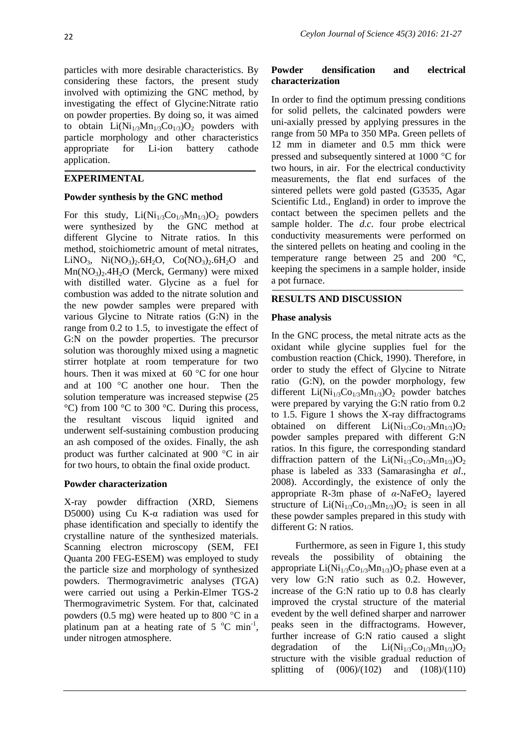particles with more desirable characteristics. By considering these factors, the present study involved with optimizing the GNC method, by investigating the effect of Glycine:Nitrate ratio on powder properties. By doing so, it was aimed to obtain  $Li(Ni_{1/3}Mn_{1/3}Co_{1/3})O_2$  powders with particle morphology and other characteristics appropriate for Li-ion battery cathode application.

## **EXPERIMENTAL**

### **Powder synthesis by the GNC method**

For this study,  $Li(Ni_{1/3}Co_{1/3}Mn_{1/3})O_2$  powders were synthesized by the GNC method at different Glycine to Nitrate ratios. In this method, stoichiometric amount of metal nitrates, LiNO<sub>3</sub>, Ni(NO<sub>3</sub>)<sub>2</sub>.6H<sub>2</sub>O, Co(NO<sub>3</sub>)<sub>2</sub>.6H<sub>2</sub>O and  $Mn(NO<sub>3</sub>)<sub>2</sub>$ .4H<sub>2</sub>O (Merck, Germany) were mixed with distilled water. Glycine as a fuel for combustion was added to the nitrate solution and the new powder samples were prepared with various Glycine to Nitrate ratios (G:N) in the range from 0.2 to 1.5, to investigate the effect of G:N on the powder properties. The precursor solution was thoroughly mixed using a magnetic stirrer hotplate at room temperature for two hours. Then it was mixed at  $60^{\circ}$ C for one hour and at  $100^{\circ}$ C another one hour. Then the solution temperature was increased stepwise (25 °C) from 100 °C to 300 °C. During this process, the resultant viscous liquid ignited and underwent self-sustaining combustion producing an ash composed of the oxides. Finally, the ash product was further calcinated at 900  $^{\circ}$ C in air for two hours, to obtain the final oxide product.

### **Powder characterization**

X-ray powder diffraction (XRD, Siemens D5000) using Cu K-α radiation was used for phase identification and specially to identify the crystalline nature of the synthesized materials. Scanning electron microscopy (SEM, FEI Quanta 200 FEG-ESEM) was employed to study the particle size and morphology of synthesized powders. Thermogravimetric analyses (TGA) were carried out using a Perkin-Elmer TGS-2 Thermogravimetric System. For that, calcinated powders (0.5 mg) were heated up to 800  $^{\circ}$ C in a platinum pan at a heating rate of 5  $^{\circ}$ C min<sup>-1</sup>, under nitrogen atmosphere.

## **Powder densification and electrical characterization**

In order to find the optimum pressing conditions for solid pellets, the calcinated powders were uni-axially pressed by applying pressures in the range from 50 MPa to 350 MPa. Green pellets of 12 mm in diameter and 0.5 mm thick were pressed and subsequently sintered at  $1000 \degree C$  for two hours, in air. For the electrical conductivity measurements, the flat end surfaces of the sintered pellets were gold pasted (G3535, Agar Scientific Ltd., England) in order to improve the contact between the specimen pellets and the sample holder. The *d.c*. four probe electrical conductivity measurements were performed on the sintered pellets on heating and cooling in the temperature range between 25 and 200 °C, keeping the specimens in a sample holder, inside a pot furnace.

## **RESULTS AND DISCUSSION**

### **Phase analysis**

In the GNC process, the metal nitrate acts as the oxidant while glycine supplies fuel for the combustion reaction (Chick, 1990). Therefore, in order to study the effect of Glycine to Nitrate ratio (G:N), on the powder morphology, few different  $Li(Ni_{1/3}Co_{1/3}Mn_{1/3})O_2$  powder batches were prepared by varying the G:N ratio from 0.2 to 1.5. Figure 1 shows the X-ray diffractograms obtained on different  $Li(Ni_{1/3}Co_{1/3}Mn_{1/3})O_2$ powder samples prepared with different G:N ratios. In this figure, the corresponding standard diffraction pattern of the  $Li(Ni_{1/3}Co_{1/3}Mn_{1/3})O_2$ phase is labeled as 333 (Samarasingha *et al*., 2008). Accordingly, the existence of only the appropriate R-3m phase of  $\alpha$ -NaFeO<sub>2</sub> layered structure of  $Li(Ni_{1/3}Co_{1/3}Mn_{1/3})O_2$  is seen in all these powder samples prepared in this study with different G: N ratios.

Furthermore, as seen in Figure 1, this study reveals the possibility of obtaining the appropriate  $Li(Ni_{1/3}Co_{1/3}Mn_{1/3})O_2$  phase even at a very low G:N ratio such as 0.2. However, increase of the G:N ratio up to 0.8 has clearly improved the crystal structure of the material evedent by the well defined sharper and narrower peaks seen in the diffractograms. However, further increase of G:N ratio caused a slight degradation of the  $Li(Ni_{1/3}Co_{1/3}Mn_{1/3})O_2$ structure with the visible gradual reduction of splitting of (006)/(102) and (108)/(110)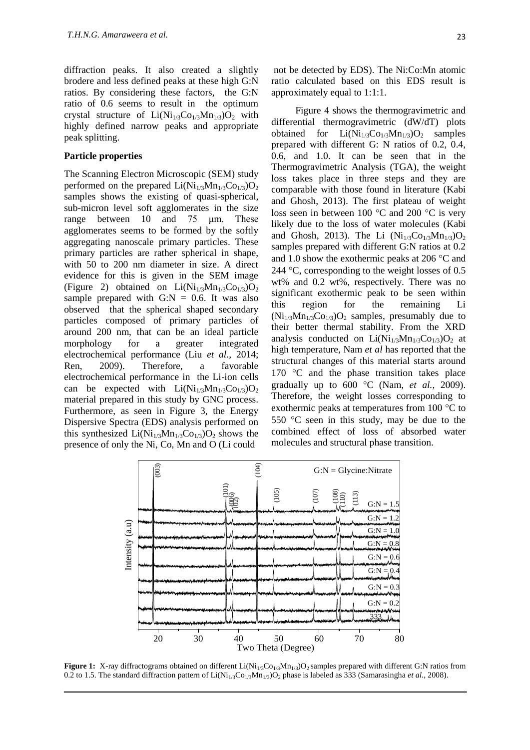diffraction peaks. It also created a slightly brodere and less defined peaks at these high G:N ratios. By considering these factors, the G:N ratio of 0.6 seems to result in the optimum crystal structure of  $Li(Ni_{1/3}Co_{1/3}Mn_{1/3})O_2$  with highly defined narrow peaks and appropriate peak splitting.

#### **Particle properties**

The Scanning Electron Microscopic (SEM) study performed on the prepared  $Li(Ni_{1/3}Mn_{1/3}Co_{1/3})O_2$ samples shows the existing of quasi-spherical, sub-micron level soft agglomerates in the size range between 10 and 75 μm. These agglomerates seems to be formed by the softly aggregating nanoscale primary particles. These primary particles are rather spherical in shape, with 50 to 200 nm diameter in size. A direct evidence for this is given in the SEM image (Figure 2) obtained on  $Li(Ni_{1/3}Mn_{1/3}Co_{1/3})O_2$ sample prepared with  $G:N = 0.6$ . It was also observed that the spherical shaped secondary particles composed of primary particles of around 200 nm, that can be an ideal particle morphology for a greater integrated electrochemical performance (Liu *et al.,* 2014; Ren, 2009). Therefore, a favorable electrochemical performance in the Li-ion cells can be expected with  $Li(Ni_{1/3}Mn_{1/3}Co_{1/3})O_2$ material prepared in this study by GNC process. Furthermore, as seen in Figure 3, the Energy Dispersive Spectra (EDS) analysis performed on this synthesized  $Li(Ni_{1/3}Mn_{1/3}Co_{1/3})O_2$  shows the presence of only the Ni, Co, Mn and O (Li could

not be detected by EDS). The Ni:Co:Mn atomic ratio calculated based on this EDS result is approximately equal to 1:1:1.

Figure 4 shows the thermogravimetric and differential thermogravimetric (dW/dT) plots obtained for  $Li(Ni_{1/3}Co_{1/3}Mn_{1/3})O_2$  samples prepared with different G: N ratios of 0.2, 0.4, 0.6, and 1.0. It can be seen that in the Thermogravimetric Analysis (TGA), the weight loss takes place in three steps and they are comparable with those found in literature [\(Kabi](https://www.researchgate.net/researcher/74990758_S_Kabi) and [Ghosh,](https://www.researchgate.net/researcher/2058736385_A_Ghosh) 2013). The first plateau of weight loss seen in between 100  $\degree$ C and 200  $\degree$ C is very likely due to the loss of water molecules [\(Kabi](https://www.researchgate.net/researcher/74990758_S_Kabi) and [Ghosh,](https://www.researchgate.net/researcher/2058736385_A_Ghosh) 2013). The Li  $(Ni_{1/3}Co_{1/3}Mn_{1/3})O_2$ samples prepared with different G:N ratios at 0.2 and 1.0 show the exothermic peaks at 206  $\degree$ C and 244  $\degree$ C, corresponding to the weight losses of 0.5 wt% and 0.2 wt%, respectively. There was no significant exothermic peak to be seen within this region for the remaining Li  $(Ni_{1/3}Mn_{1/3}Co_{1/3})O_2$  samples, presumably due to their better thermal stability. From the XRD analysis conducted on  $Li(Ni_{1/3}Mn_{1/3}Co_{1/3})O_2$  at high temperature, Nam *et al* has reported that the structural changes of this material starts around 170  $\degree$ C and the phase transition takes place gradually up to  $600 \degree C$  (Nam, *et al.*, 2009). Therefore, the weight losses corresponding to exothermic peaks at temperatures from  $100^{\circ}$ C to 550  $\degree$ C seen in this study, may be due to the combined effect of loss of absorbed water molecules and structural phase transition.



**Figure 1:** X-ray diffractograms obtained on different Li(Ni<sub>1/3</sub>Co<sub>1/3</sub>Mn<sub>1/3</sub>)O<sub>2</sub> samples prepared with different G:N ratios from 0.2 to 1.5. The standard diffraction pattern of  $Li(Ni<sub>1/3</sub>Co<sub>1/3</sub>Mn<sub>1/3</sub>)O<sub>2</sub>$  phase is labeled as 333 (Samarasingha *et al.*, 2008).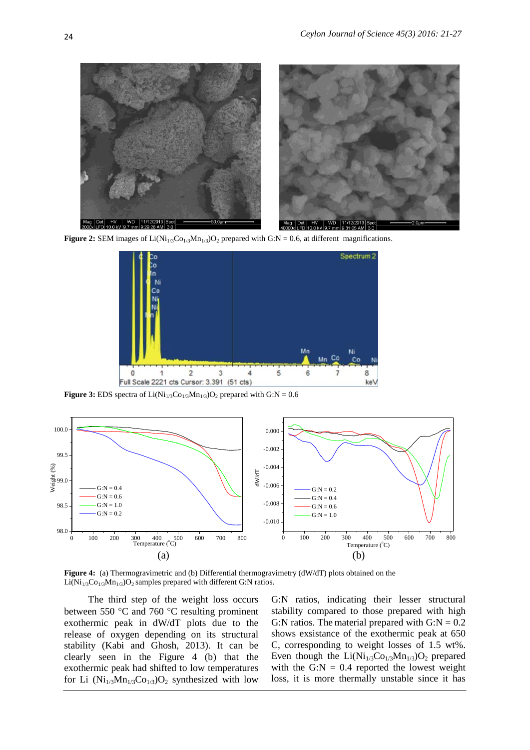

**Figure 2:** SEM images of  $Li(Ni_{1/3}Co_{1/3}Mn_{1/3})O_2$  prepared with G:N = 0.6, at different magnifications.



**Figure 3:** EDS spectra of  $Li(Ni_{1/3}Co_{1/3}Mn_{1/3})O_2$  prepared with  $G:N = 0.6$ 



**Figure 4:** (a) Thermogravimetric and (b) Differential thermogravimetry (dW/dT) plots obtained on the  $Li(Ni_{1/3}Co_{1/3}Mn_{1/3})O_2$  samples prepared with different G:N ratios.

The third step of the weight loss occurs between 550  $\degree$ C and 760  $\degree$ C resulting prominent exothermic peak in dW/dT plots due to the release of oxygen depending on its structural stability (Kabi and Ghosh, 2013). It can be clearly seen in the Figure 4 (b) that the exothermic peak had shifted to low temperatures for Li  $(Ni_{1/3}Mn_{1/3}Co_{1/3})O_2$  synthesized with low G:N ratios, indicating their lesser structural stability compared to those prepared with high G:N ratios. The material prepared with  $G:N = 0.2$ shows exsistance of the exothermic peak at 650 C, corresponding to weight losses of 1.5 wt%. Even though the  $Li(Ni_{1/3}Co_{1/3}Mn_{1/3})O_2$  prepared with the G:N  $= 0.4$  reported the lowest weight loss, it is more thermally unstable since it has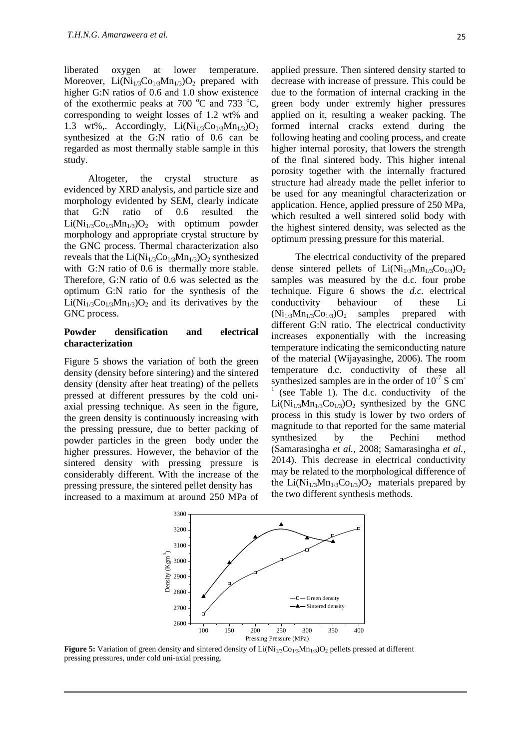liberated oxygen at lower temperature. Moreover,  $Li(Ni_{1/3}Co_{1/3}Mn_{1/3})O_2$  prepared with higher G:N ratios of 0.6 and 1.0 show existence of the exothermic peaks at 700  $^{\circ}$ C and 733  $^{\circ}$ C, corresponding to weight losses of 1.2 wt% and 1.3 wt%,. Accordingly,  $Li(Ni_{1/3}Co_{1/3}Mn_{1/3})O_2$ synthesized at the G:N ratio of 0.6 can be regarded as most thermally stable sample in this study.

Altogeter, the crystal structure as evidenced by XRD analysis, and particle size and morphology evidented by SEM, clearly indicate that G:N ratio of 0.6 resulted the  $Li(Ni_{1/3}Co_{1/3}Mn_{1/3})O_2$  with optimum powder morphology and appropriate crystal structure by the GNC process. Thermal characterization also reveals that the  $Li(Ni_{1/3}Co_{1/3}Mn_{1/3})O_2$  synthesized with G:N ratio of 0.6 is thermally more stable. Therefore, G:N ratio of 0.6 was selected as the optimum G:N ratio for the synthesis of the  $Li(Ni_{1/3}Co_{1/3}Mn_{1/3})O_2$  and its derivatives by the GNC process.

#### **Powder densification and electrical characterization**

Figure 5 shows the variation of both the green density (density before sintering) and the sintered density (density after heat treating) of the pellets pressed at different pressures by the cold uniaxial pressing technique. As seen in the figure, the green density is continuously increasing with the pressing pressure, due to better packing of powder particles in the green body under the higher pressures. However, the behavior of the sintered density with pressing pressure is considerably different. With the increase of the pressing pressure, the sintered pellet density has increased to a maximum at around 250 MPa of

applied pressure. Then sintered density started to decrease with increase of pressure. This could be due to the formation of internal cracking in the green body under extremly higher pressures applied on it, resulting a weaker packing. The formed internal cracks extend during the following heating and cooling process, and create higher internal porosity, that lowers the strength of the final sintered body. This higher intenal porosity together with the internally fractured structure had already made the pellet inferior to be used for any meaningful characterization or application. Hence, applied pressure of 250 MPa, which resulted a well sintered solid body with the highest sintered density, was selected as the optimum pressing pressure for this material.

The electrical conductivity of the prepared dense sintered pellets of  $Li(Ni_{1/3}Mn_{1/3}Co_{1/3})O_2$ samples was measured by the d.c. four probe technique. Figure 6 shows the *d.c.* electrical conductivity behaviour of these Li  $(Ni_{1/3}Mn_{1/3}Co_{1/3})O_2$  samples prepared with different G:N ratio. The electrical conductivity increases exponentially with the increasing temperature indicating the semiconducting nature of the material (Wijayasinghe, 2006). The room temperature d.c. conductivity of these all synthesized samples are in the order of  $10^{-7}$  S cm 1 (see Table 1). The d.c. conductivity of the  $Li(Ni_{1/3}Mn_{1/3}Co_{1/3})O_2$  synthesized by the GNC process in this study is lower by two orders of magnitude to that reported for the same material synthesized by the Pechini method (Samarasingha *et al.,* 2008; Samarasingha *et al.,* 2014). This decrease in electrical conductivity may be related to the morphological difference of the  $Li(Ni_{1/3}Mn_{1/3}Co_{1/3})O_2$  materials prepared by the two different synthesis methods.



**Figure 5:** Variation of green density and sintered density of  $Li(Ni_{1/3}Co_{1/3}Mn_{1/3})O_2$  pellets pressed at different pressing pressures, under cold uni-axial pressing.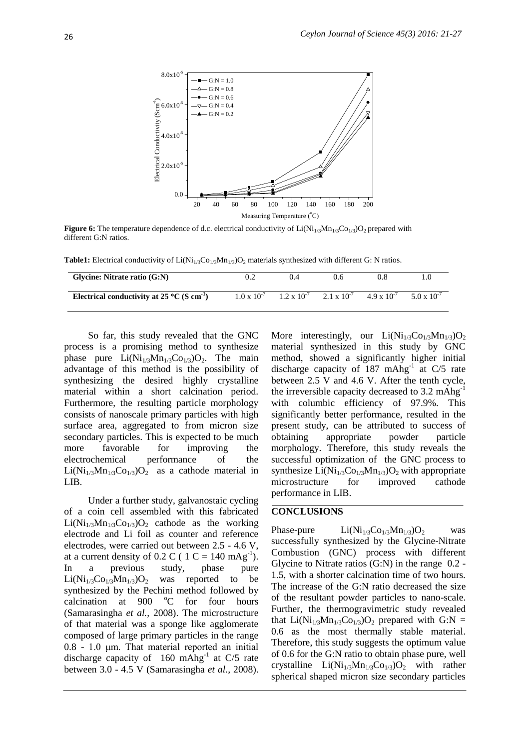

**Figure 6:** The temperature dependence of d.c. electrical conductivity of  $Li(Ni_{1/3}Mn_{1/3}Co_{1/3})O_2$  prepared with different G:N ratios.

**Table1:** Electrical conductivity of  $Li(Ni_{1/3}Co_{1/3}Mn_{1/3})O_2$  materials synthesized with different G: N ratios.

| Glycine: Nitrate ratio (G:N)                                     |                      | 0.4                  | 0.6                  |                      |                      |
|------------------------------------------------------------------|----------------------|----------------------|----------------------|----------------------|----------------------|
| Electrical conductivity at 25 $^{\circ}$ C (S cm <sup>-1</sup> ) | $1.0 \times 10^{-7}$ | $1.2 \times 10^{-7}$ | $2.1 \times 10^{-7}$ | $4.9 \times 10^{-7}$ | $5.0 \times 10^{-7}$ |

So far, this study revealed that the GNC process is a promising method to synthesize phase pure  $Li(Ni_{1/3}Mn_{1/3}Co_{1/3})O_2$ . The main advantage of this method is the possibility of synthesizing the desired highly crystalline material within a short calcination period. Furthermore, the resulting particle morphology consists of nanoscale primary particles with high surface area, aggregated to from micron size secondary particles. This is expected to be much more favorable for improving the electrochemical performance of the  $Li(Ni_{1/3}Mn_{1/3}Co_{1/3})O_2$  as a cathode material in LIB.

Under a further study, galvanostaic cycling of a coin cell assembled with this fabricated  $Li(Ni_{1/3}Mn_{1/3}Co_{1/3})O_2$  cathode as the working electrode and Li foil as counter and reference electrodes, were carried out between 2.5 - 4.6 V, at a current density of 0.2 C ( 1 C = 140 mAg<sup>-1</sup>). In a previous study, phase pure  $Li(Ni_{1/3}Co_{1/3}Mn_{1/3})O_2$  was reported to be synthesized by the Pechini method followed by calcination at  $900\degree$  octor four hours (Samarasingha *et al.,* 2008). The microstructure of that material was a sponge like agglomerate composed of large primary particles in the range 0.8 - 1.0 μm. That material reported an initial discharge capacity of 160 mAhg<sup>-1</sup> at C/5 rate between 3.0 - 4.5 V (Samarasingha *et al.,* 2008).

More interestingly, our  $Li(Ni_{1/3}Co_{1/3}Mn_{1/3})O_2$ material synthesized in this study by GNC method, showed a significantly higher initial discharge capacity of 187 mAhg<sup>-1</sup> at C/5 rate between 2.5 V and 4.6 V. After the tenth cycle, the irreversible capacity decreased to 3.2 mAhg-1 with columbic efficiency of 97.9%. This significantly better performance, resulted in the present study, can be attributed to success of obtaining appropriate powder particle morphology. Therefore, this study reveals the successful optimization of the GNC process to synthesize  $Li(Ni_{1/3}Co_{1/3}Mn_{1/3})O_2$  with appropriate microstructure for improved cathode performance in LIB.

#### **CONCLUSIONS**

Phase-pure  $Li(Ni_{1/3}Co_{1/3}Mn_{1/3})O_2$  was successfully synthesized by the Glycine-Nitrate Combustion (GNC) process with different Glycine to Nitrate ratios (G:N) in the range 0.2 - 1.5, with a shorter calcination time of two hours. The increase of the G:N ratio decreased the size of the resultant powder particles to nano-scale. Further, the thermogravimetric study revealed that  $Li(Ni_{1/3}Mn_{1/3}Co_{1/3})O_2$  prepared with G:N = 0.6 as the most thermally stable material. Therefore, this study suggests the optimum value of 0.6 for the G:N ratio to obtain phase pure, well crystalline  $Li(Ni_{1/3}Mn_{1/3}Co_{1/3})O_2$  with rather spherical shaped micron size secondary particles